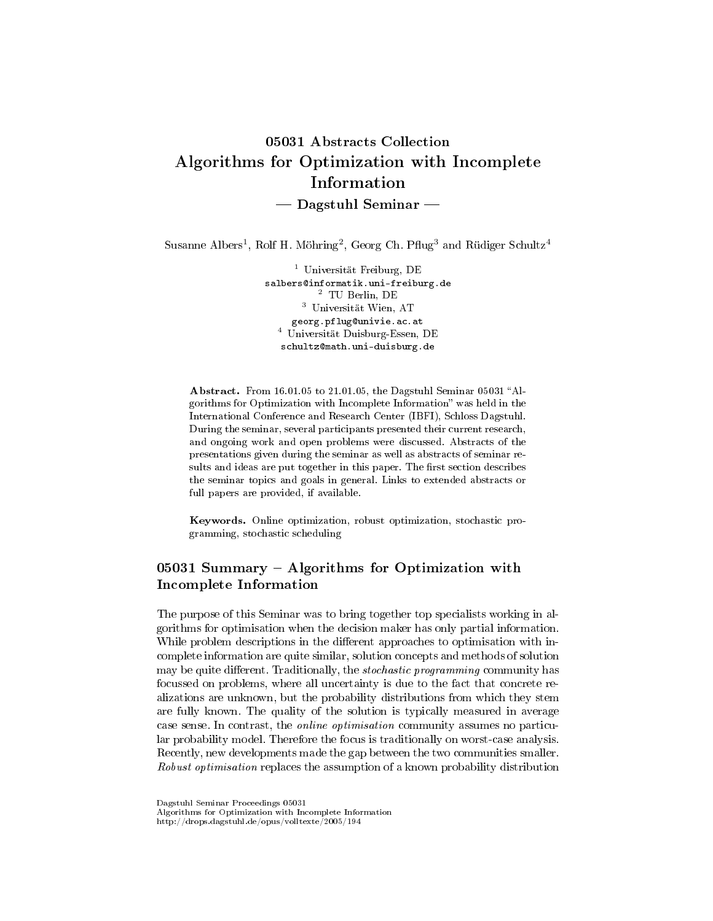# 05031 Abstracts Collection Algorithms for Optimization with Incomplete Information  $-$  Dagstuhl Seminar  $-$

Susanne Albers<sup>1</sup>, Rolf H. Möhring<sup>2</sup>, Georg Ch. Pflug<sup>3</sup> and Rüdiger Schultz<sup>4</sup>

<sup>1</sup> Universität Freiburg, DE salbers@informatik.uni-freiburg.de <sup>2</sup> TU Berlin, DE <sup>3</sup> Universität Wien, AT georg.pflug@univie.ac.at <sup>4</sup> Universität Duisburg-Essen, DE schultz@math.uni-duisburg.de

Abstract. From 16.01.05 to 21.01.05, the Dagstuhl Seminar 05031 "Algorithms for Optimization with Incomplete Information" was held in the International Conference and Research Center (IBFI), Schloss Dagstuhl. During the seminar, several participants presented their current research, and ongoing work and open problems were discussed. Abstracts of the presentations given during the seminar as well as abstracts of seminar results and ideas are put together in this paper. The first section describes the seminar topics and goals in general. Links to extended abstracts or full papers are provided, if available.

Keywords. Online optimization, robust optimization, stochastic programming, stochastic scheduling

# 05031 Summary - Algorithms for Optimization with Incomplete Information

The purpose of this Seminar was to bring together top specialists working in algorithms for optimisation when the decision maker has only partial information. While problem descriptions in the different approaches to optimisation with incomplete information are quite similar, solution concepts and methods of solution may be quite different. Traditionally, the stochastic programming community has focussed on problems, where all uncertainty is due to the fact that concrete realizations are unknown, but the probability distributions from which they stem are fully known. The quality of the solution is typically measured in average case sense. In contrast, the online optimisation community assumes no particular probability model. Therefore the focus is traditionally on worst-case analysis. Recently, new developments made the gap between the two communities smaller. Robust optimisation replaces the assumption of a known probability distribution

Dagstuhl Seminar Proceedings 05031

Algorithms for Optimization with Incomplete Information

http://drops.dagstuhl.de/opus/volltexte/2005/194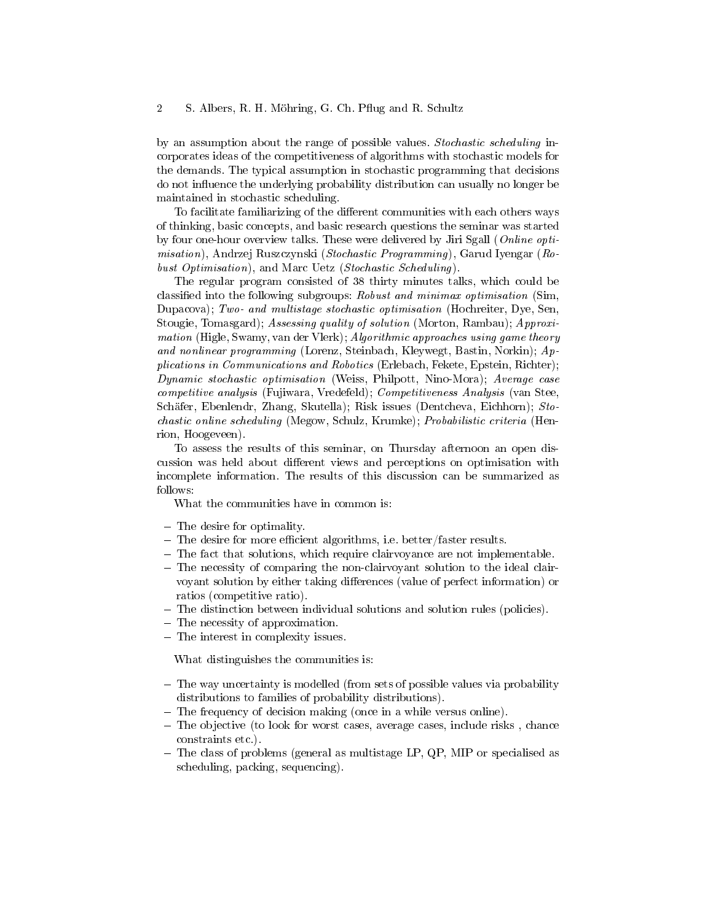by an assumption about the range of possible values. Stochastic scheduling incorporates ideas of the competitiveness of algorithms with stochastic models for the demands. The typical assumption in stochastic programming that decisions do not influence the underlying probability distribution can usually no longer be maintained in stochastic scheduling.

To facilitate familiarizing of the different communities with each others ways of thinking, basic concepts, and basic research questions the seminar was started by four one-hour overview talks. These were delivered by Jiri Sgall (Online optimisation), Andrzej Ruszczynski (Stochastic Programming), Garud Iyengar (Robust Optimisation), and Marc Uetz (Stochastic Scheduling).

The regular program consisted of 38 thirty minutes talks, which could be classied into the following subgroups: Robust and minimax optimisation (Sim, Dupacova); Two- and multistage stochastic optimisation (Hochreiter, Dye, Sen, Stougie, Tomasgard); Assessing quality of solution (Morton, Rambau); Approximation (Higle, Swamy, van der Vlerk); Algorithmic approaches using game theory and nonlinear programming (Lorenz, Steinbach, Kleywegt, Bastin, Norkin); Applications in Communications and Robotics (Erlebach, Fekete, Epstein, Richter); Dynamic stochastic optimisation (Weiss, Philpott, Nino-Mora); Average case competitive analysis (Fujiwara, Vredefeld); Competitiveness Analysis (van Stee, Schäfer, Ebenlendr, Zhang, Skutella); Risk issues (Dentcheva, Eichhorn); Stochastic online scheduling (Megow, Schulz, Krumke); Probabilistic criteria (Henrion, Hoogeveen).<br>To assess the

To assess the results of this seminar, on Thursday afternoon an open discussion was held about dierent views and perceptions on optimisation with incomplete information. The results of this discussion can be summarized as follows:

What the communities have in common is:

- The desire for optimality.
- $-$  The desire for more efficient algorithms, i.e. better/faster results.
- The fact that solutions, which require clairvoyance are not implementable.
- The necessity of comparing the non-clairvoyant solution to the ideal clairvoyant solution by either taking differences (value of perfect information) or ratios (competitive ratio).
- The distinction between individual solutions and solution rules (policies).
- The necessity of approximation.
- The interest in complexity issues.

What distinguishes the communities is:

- The way uncertainty is modelled (from sets of possible values via probability distributions to families of probability distributions).
- The frequency of decision making (once in a while versus online).
- The objective (to look for worst cases, average cases, include risks, chance constraints etc.).
- The class of problems (general as multistage LP, QP, MIP or specialised as scheduling, packing, sequencing).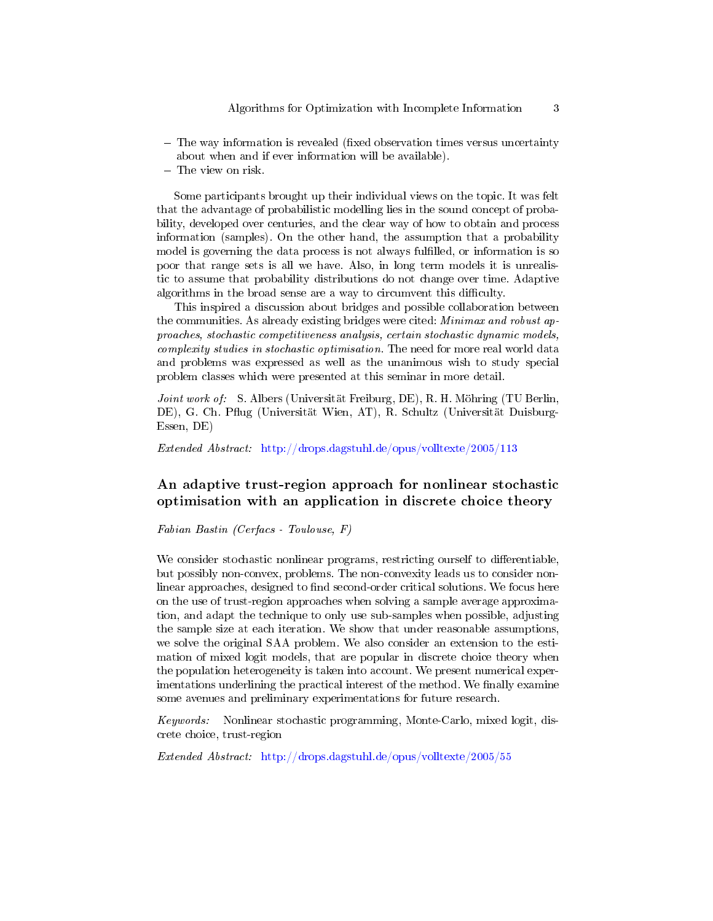- The way information is revealed (fixed observation times versus uncertainty about when and if ever information will be available).
- The view on risk.

Some participants brought up their individual views on the topic. It was felt that the advantage of probabilistic modelling lies in the sound concept of probability, developed over centuries, and the clear way of how to obtain and process information (samples). On the other hand, the assumption that a probability model is governing the data process is not always fulfilled, or information is so poor that range sets is all we have. Also, in long term models it is unrealistic to assume that probability distributions do not change over time. Adaptive algorithms in the broad sense are a way to circumvent this difficulty.

This inspired a discussion about bridges and possible collaboration between the communities. As already existing bridges were cited: *Minimax and robust ap*proaches, stochastic competitiveness analysis, certain stochastic dynamic models, complexity studies in stochastic optimisation. The need for more real world data and problems was expressed as well as the unanimous wish to study special problem classes which were presented at this seminar in more detail.

Joint work of: S. Albers (Universität Freiburg, DE), R. H. Möhring (TU Berlin, DE), G. Ch. Pug (Universität Wien, AT), R. Schultz (Universität Duisburg-Essen, DE)

Extended Abstract: <http://drops.dagstuhl.de/opus/volltexte/2005/113>

# An adaptive trust-region approach for nonlinear stochastic optimisation with an application in discrete choice theory

Fabian Bastin (Cerfacs - Toulouse, F)

We consider stochastic nonlinear programs, restricting ourself to differentiable, but possibly non-convex, problems. The non-convexity leads us to consider nonlinear approaches, designed to find second-order critical solutions. We focus here on the use of trust-region approaches when solving a sample average approximation, and adapt the technique to only use sub-samples when possible, adjusting the sample size at each iteration. We show that under reasonable assumptions, we solve the original SAA problem. We also consider an extension to the estimation of mixed logit models, that are popular in discrete choice theory when the population heterogeneity is taken into account. We present numerical experimentations underlining the practical interest of the method. We finally examine some avenues and preliminary experimentations for future research.

Keywords: Nonlinear stochastic programming, Monte-Carlo, mixed logit, discrete choice, trust-region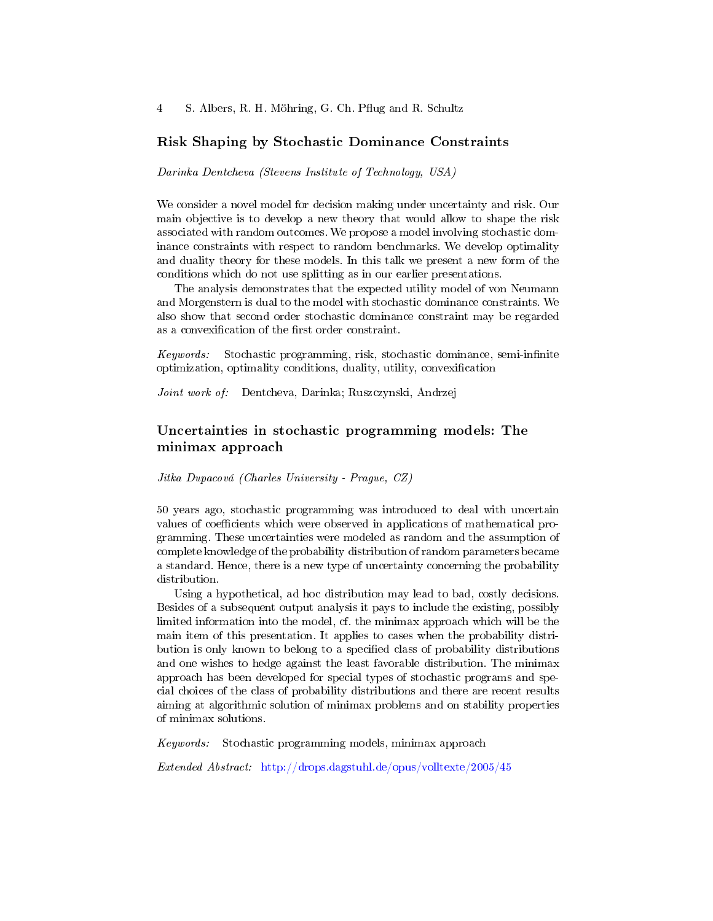4 S. Albers, R. H. Möhring, G. Ch. Pflug and R. Schultz

### Risk Shaping by Stochastic Dominance Constraints

Darinka Dentcheva (Stevens Institute of Technology, USA)

We consider a novel model for decision making under uncertainty and risk. Our main objective is to develop a new theory that would allow to shape the risk associated with random outcomes. We propose a model involving stochastic dominance constraints with respect to random benchmarks. We develop optimality and duality theory for these models. In this talk we present a new form of the conditions which do not use splitting as in our earlier presentations.

The analysis demonstrates that the expected utility model of von Neumann and Morgenstern is dual to the model with stochastic dominance constraints. We also show that second order stochastic dominance constraint may be regarded as a convexification of the first order constraint.

Keywords: Stochastic programming, risk, stochastic dominance, semi-infinite optimization, optimality conditions, duality, utility, convexification

Joint work of: Dentcheva, Darinka; Ruszczynski, Andrzej

# Uncertainties in stochastic programming models: The minimax approach

Jitka Dupacová (Charles University - Prague, CZ)

50 years ago, stochastic programming was introduced to deal with uncertain values of coefficients which were observed in applications of mathematical programming. These uncertainties were modeled as random and the assumption of complete knowledge of the probability distribution of random parameters became a standard. Hence, there is a new type of uncertainty concerning the probability distribution.

Using a hypothetical, ad hoc distribution may lead to bad, costly decisions. Besides of a subsequent output analysis it pays to include the existing, possibly limited information into the model, cf. the minimax approach which will be the main item of this presentation. It applies to cases when the probability distribution is only known to belong to a specified class of probability distributions and one wishes to hedge against the least favorable distribution. The minimax approach has been developed for special types of stochastic programs and special choices of the class of probability distributions and there are recent results aiming at algorithmic solution of minimax problems and on stability properties of minimax solutions.

Keywords: Stochastic programming models, minimax approach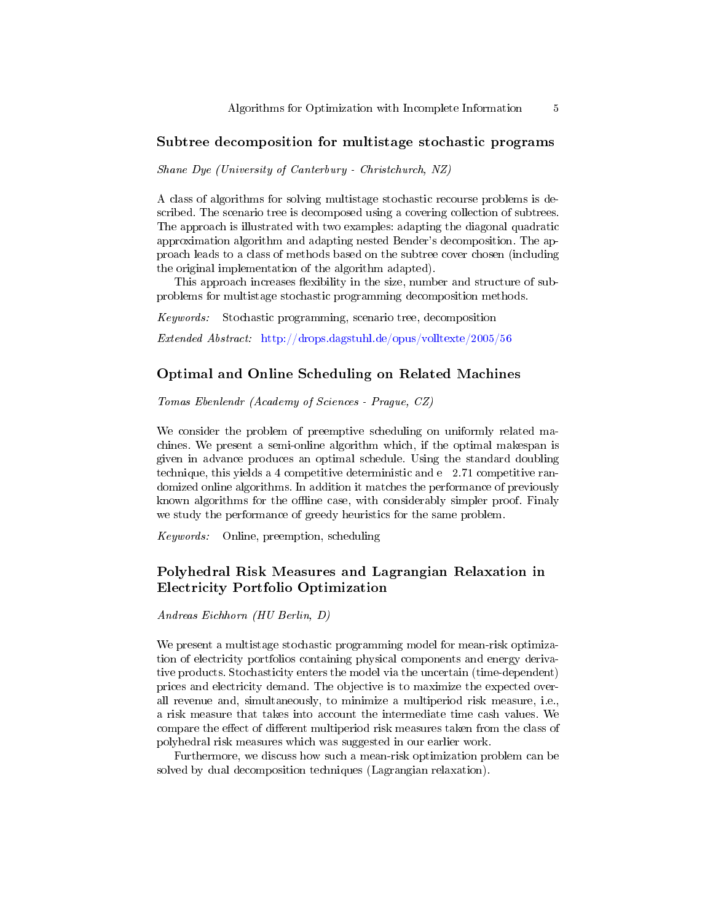### Subtree decomposition for multistage stochastic programs

Shane Dye (University of Canterbury - Christchurch, NZ)

A class of algorithms for solving multistage stochastic recourse problems is described. The scenario tree is decomposed using a covering collection of subtrees. The approach is illustrated with two examples: adapting the diagonal quadratic approximation algorithm and adapting nested Bender's decomposition. The approach leads to a class of methods based on the subtree cover chosen (including the original implementation of the algorithm adapted).

This approach increases flexibility in the size, number and structure of subproblems for multistage stochastic programming decomposition methods.

Keywords: Stochastic programming, scenario tree, decomposition

Extended Abstract: <http://drops.dagstuhl.de/opus/volltexte/2005/56>

#### Optimal and Online Scheduling on Related Machines

Tomas Ebenlendr (Academy of Sciences - Prague, CZ)

We consider the problem of preemptive scheduling on uniformly related machines. We present a semi-online algorithm which, if the optimal makespan is given in advance produces an optimal schedule. Using the standard doubling technique, this yields a 4 competitive deterministic and e 2.71 competitive randomized online algorithms. In addition it matches the performance of previously known algorithms for the offline case, with considerably simpler proof. Finaly we study the performance of greedy heuristics for the same problem.

Keywords: Online, preemption, scheduling

# Polyhedral Risk Measures and Lagrangian Relaxation in Electricity Portfolio Optimization

Andreas Eichhorn (HU Berlin, D)

We present a multistage stochastic programming model for mean-risk optimization of electricity portfolios containing physical components and energy derivative products. Stochasticity enters the model via the uncertain (time-dependent) prices and electricity demand. The objective is to maximize the expected overall revenue and, simultaneously, to minimize a multiperiod risk measure, i.e., a risk measure that takes into account the intermediate time cash values. We compare the effect of different multiperiod risk measures taken from the class of polyhedral risk measures which was suggested in our earlier work.

Furthermore, we discuss how such a mean-risk optimization problem can be solved by dual decomposition techniques (Lagrangian relaxation).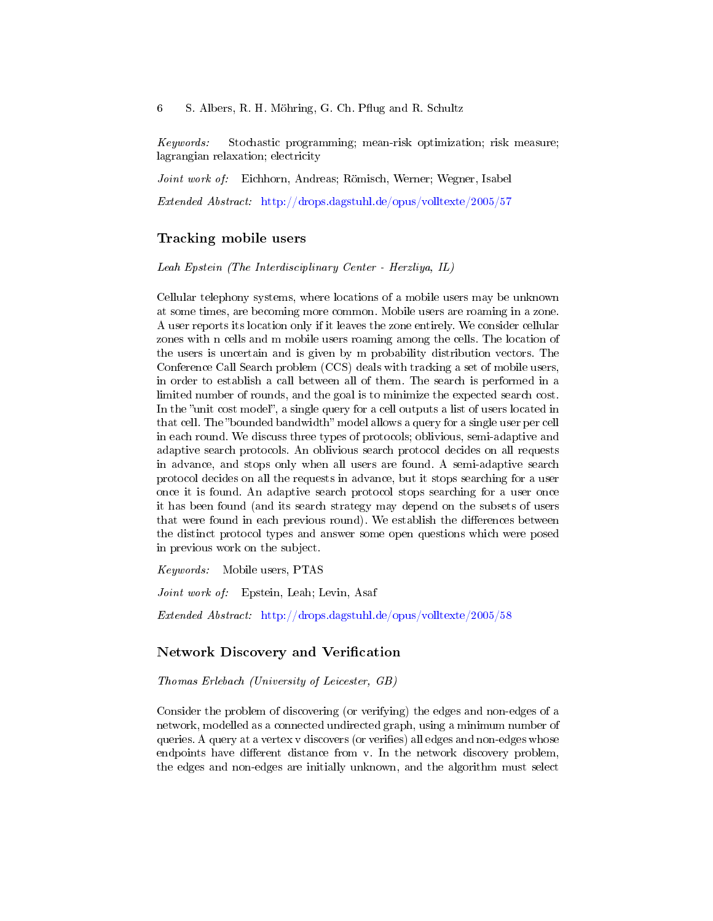6 S. Albers, R. H. Möhring, G. Ch. Pflug and R. Schultz

Keywords: Stochastic programming; mean-risk optimization; risk measure; lagrangian relaxation; electricity

Joint work of: Eichhorn, Andreas; Römisch, Werner; Wegner, Isabel

Extended Abstract: <http://drops.dagstuhl.de/opus/volltexte/2005/57>

### Tracking mobile users

Leah Epstein (The Interdisciplinary Center - Herzliya, IL)

Cellular telephony systems, where locations of a mobile users may be unknown at some times, are becoming more common. Mobile users are roaming in a zone. A user reports its location only if it leaves the zone entirely. We consider cellular zones with n cells and m mobile users roaming among the cells. The location of the users is uncertain and is given by m probability distribution vectors. The Conference Call Search problem (CCS) deals with tracking a set of mobile users, in order to establish a call between all of them. The search is performed in a limited number of rounds, and the goal is to minimize the expected search cost. In the "unit cost model", a single query for a cell outputs a list of users located in that cell. The "bounded bandwidth" model allows a query for a single user per cell in each round. We discuss three types of protocols; oblivious, semi-adaptive and adaptive search protocols. An oblivious search protocol decides on all requests in advance, and stops only when all users are found. A semi-adaptive search protocol decides on all the requests in advance, but it stops searching for a user once it is found. An adaptive search protocol stops searching for a user once it has been found (and its search strategy may depend on the subsets of users that were found in each previous round). We establish the differences between the distinct protocol types and answer some open questions which were posed in previous work on the subject.

Keywords: Mobile users, PTAS

Joint work of: Epstein, Leah; Levin, Asaf

Extended Abstract: <http://drops.dagstuhl.de/opus/volltexte/2005/58>

#### Network Discovery and Verification

Thomas Erlebach (University of Leicester, GB)

Consider the problem of discovering (or verifying) the edges and non-edges of a network, modelled as a connected undirected graph, using a minimum number of queries. A query at a vertex v discovers (or verifies) all edges and non-edges whose endpoints have different distance from v. In the network discovery problem, the edges and non-edges are initially unknown, and the algorithm must select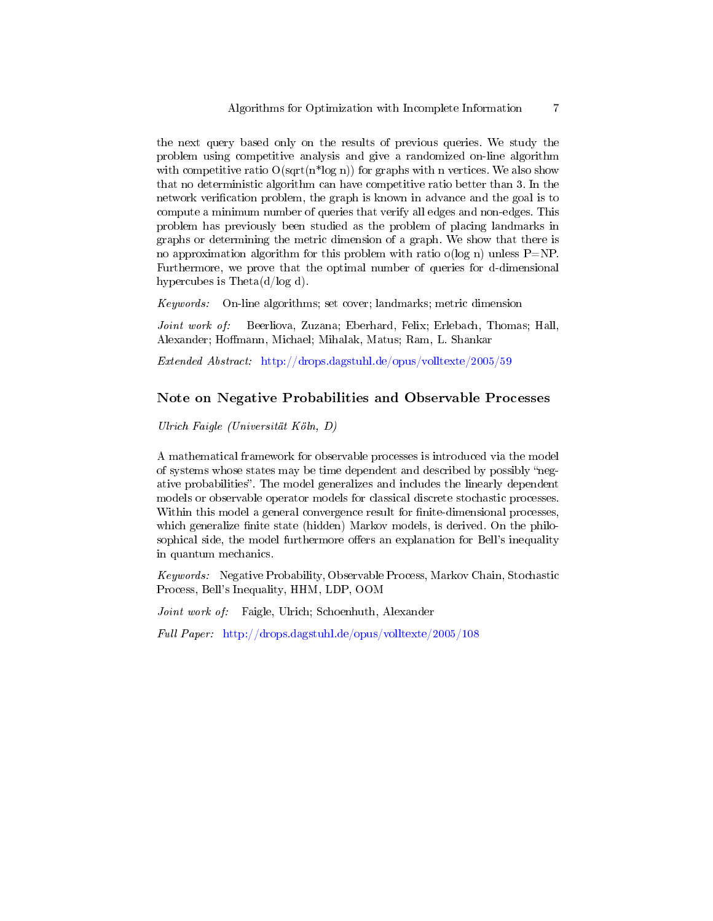the next query based only on the results of previous queries. We study the problem using competitive analysis and give a randomized on-line algorithm with competitive ratio  $O(\sqrt{\frac{m}{\log n}})$  for graphs with n vertices. We also show that no deterministic algorithm can have competitive ratio better than 3. In the network verification problem, the graph is known in advance and the goal is to compute a minimum number of queries that verify all edges and non-edges. This problem has previously been studied as the problem of placing landmarks in graphs or determining the metric dimension of a graph. We show that there is no approximation algorithm for this problem with ratio o(log n) unless  $P=NP$ . Furthermore, we prove that the optimal number of queries for d-dimensional hypercubes is Theta(d/log d).

Keywords: On-line algorithms; set cover; landmarks; metric dimension

Joint work of: Beerliova, Zuzana; Eberhard, Felix; Erlebach, Thomas; Hall, Alexander; Hoffmann, Michael; Mihalak, Matus; Ram, L. Shankar

Extended Abstract: <http://drops.dagstuhl.de/opus/volltexte/2005/59>

# Note on Negative Probabilities and Observable Processes

Ulrich Faigle (Universität Köln, D)

A mathematical framework for observable processes is introduced via the model of systems whose states may be time dependent and described by possibly "negative probabilities". The model generalizes and includes the linearly dependent models or observable operator models for classical discrete stochastic processes. Within this model a general convergence result for finite-dimensional processes, which generalize finite state (hidden) Markov models, is derived. On the philosophical side, the model furthermore offers an explanation for Bell's inequality in quantum mechanics.

Keywords: Negative Probability, Observable Process, Markov Chain, Stochastic Process, Bell's Inequality, HHM, LDP, OOM

Joint work of: Faigle, Ulrich; Schoenhuth, Alexander

Full Paper: <http://drops.dagstuhl.de/opus/volltexte/2005/108>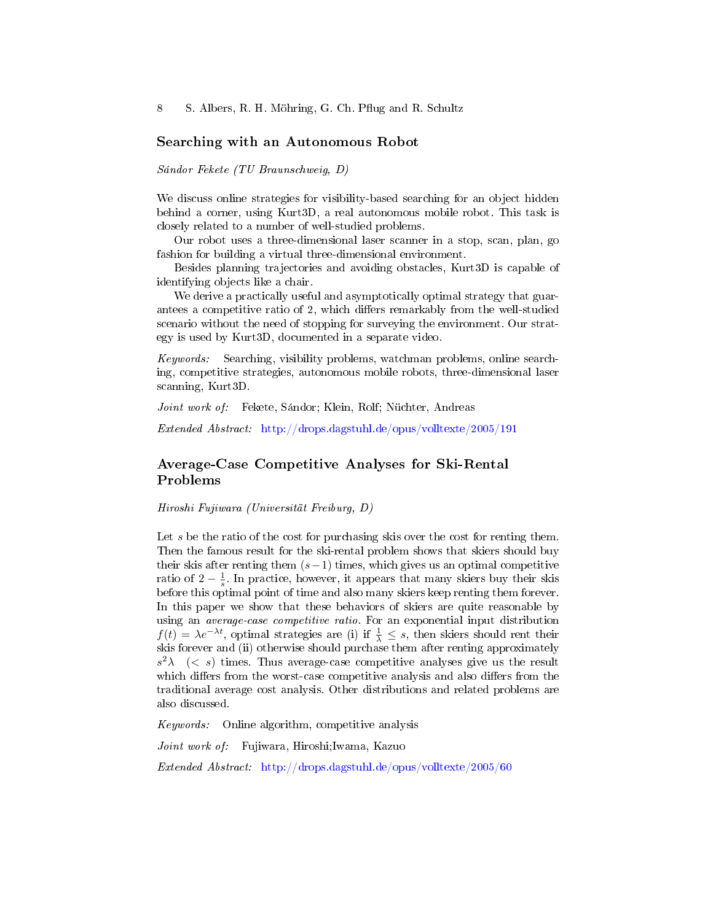#### Searching with an Autonomous Robot

Sándor Fekete (TU Braunschweig, D)

We discuss online strategies for visibility-based searching for an object hidden behind a corner, using Kurt3D, a real autonomous mobile robot. This task is closely related to a number of well-studied problems.

Our robot uses a three-dimensional laser scanner in a stop, scan, plan, go fashion for building a virtual three-dimensional environment.

Besides planning trajectories and avoiding obstacles, Kurt3D is capable of identifying objects like a chair.

We derive a practically useful and asymptotically optimal strategy that guarantees a competitive ratio of 2, which differs remarkably from the well-studied scenario without the need of stopping for surveying the environment. Our strategy is used by Kurt3D, documented in a separate video.

Keywords: Searching, visibility problems, watchman problems, online searching, competitive strategies, autonomous mobile robots, three-dimensional laser scanning, Kurt3D.

Joint work of: Fekete, Sándor; Klein, Rolf; Nüchter, Andreas

Extended Abstract: <http://drops.dagstuhl.de/opus/volltexte/2005/191>

# Average-Case Competitive Analyses for Ski-Rental Problems

Hiroshi Fujiwara (Universität Freiburg, D)

Let s be the ratio of the cost for purchasing skis over the cost for renting them. Then the famous result for the ski-rental problem shows that skiers should buy their skis after renting them  $(s-1)$  times, which gives us an optimal competitive ratio of  $2 - \frac{1}{s}$ . In practice, however, it appears that many skiers buy their skis before this optimal point of time and also many skiers keep renting them forever. In this paper we show that these behaviors of skiers are quite reasonable by using an average-case competitive ratio. For an exponential input distribution  $f(t) = \lambda e^{-\lambda t}$ , optimal strategies are (i) if  $\frac{1}{\lambda} \leq s$ , then skiers should rent their skis forever and (ii) otherwise should purchase them after renting approximately  $s^2\lambda$  (< s) times. Thus average-case competitive analyses give us the result which differs from the worst-case competitive analysis and also differs from the traditional average cost analysis. Other distributions and related problems are also discussed.

Keywords: Online algorithm, competitive analysis

Joint work of: Fujiwara, Hiroshi;Iwama, Kazuo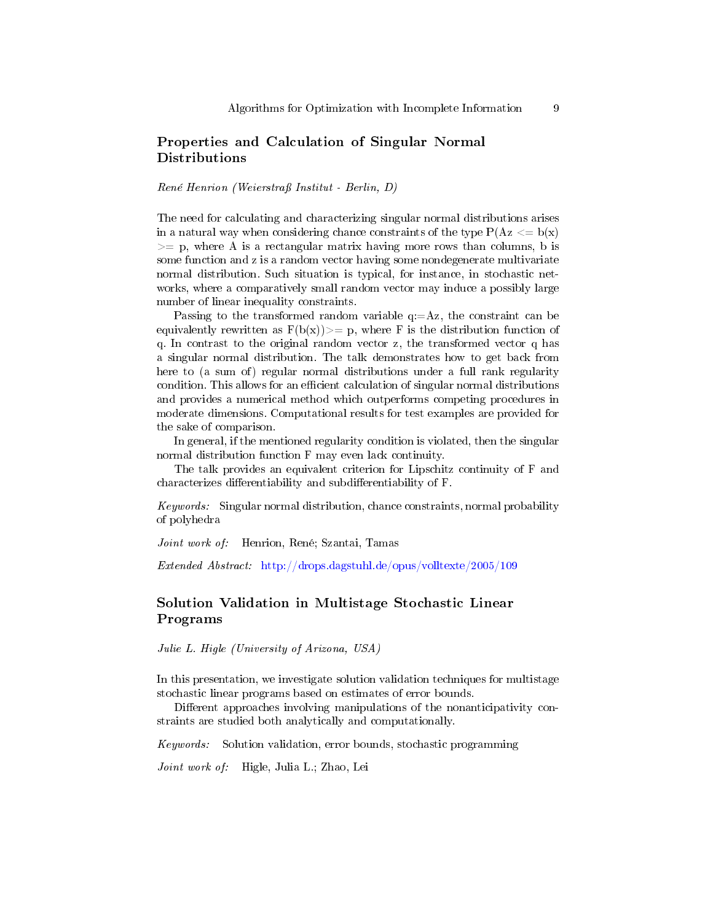# Properties and Calculation of Singular Normal Distributions

René Henrion (Weierstraÿ Institut - Berlin, D)

The need for calculating and characterizing singular normal distributions arises in a natural way when considering chance constraints of the type  $P(Az \leq b(x))$  $>=$  p, where A is a rectangular matrix having more rows than columns, b is some function and z is a random vector having some nondegenerate multivariate normal distribution. Such situation is typical, for instance, in stochastic networks, where a comparatively small random vector may induce a possibly large number of linear inequality constraints.

Passing to the transformed random variable  $q:=Az$ , the constraint can be equivalently rewritten as  $F(b(x))>= p$ , where F is the distribution function of q. In contrast to the original random vector z, the transformed vector q has a singular normal distribution. The talk demonstrates how to get back from here to (a sum of) regular normal distributions under a full rank regularity condition. This allows for an efficient calculation of singular normal distributions and provides a numerical method which outperforms competing procedures in moderate dimensions. Computational results for test examples are provided for the sake of comparison.

In general, if the mentioned regularity condition is violated, then the singular normal distribution function F may even lack continuity.

The talk provides an equivalent criterion for Lipschitz continuity of F and characterizes differentiability and subdifferentiability of F.

Keywords: Singular normal distribution, chance constraints, normal probability of polyhedra

Joint work of: Henrion, René; Szantai, Tamas

Extended Abstract: <http://drops.dagstuhl.de/opus/volltexte/2005/109>

# Solution Validation in Multistage Stochastic Linear Programs

Julie L. Higle (University of Arizona, USA)

In this presentation, we investigate solution validation techniques for multistage stochastic linear programs based on estimates of error bounds.

Different approaches involving manipulations of the nonanticipativity constraints are studied both analytically and computationally.

Keywords: Solution validation, error bounds, stochastic programming

Joint work of: Higle, Julia L.; Zhao, Lei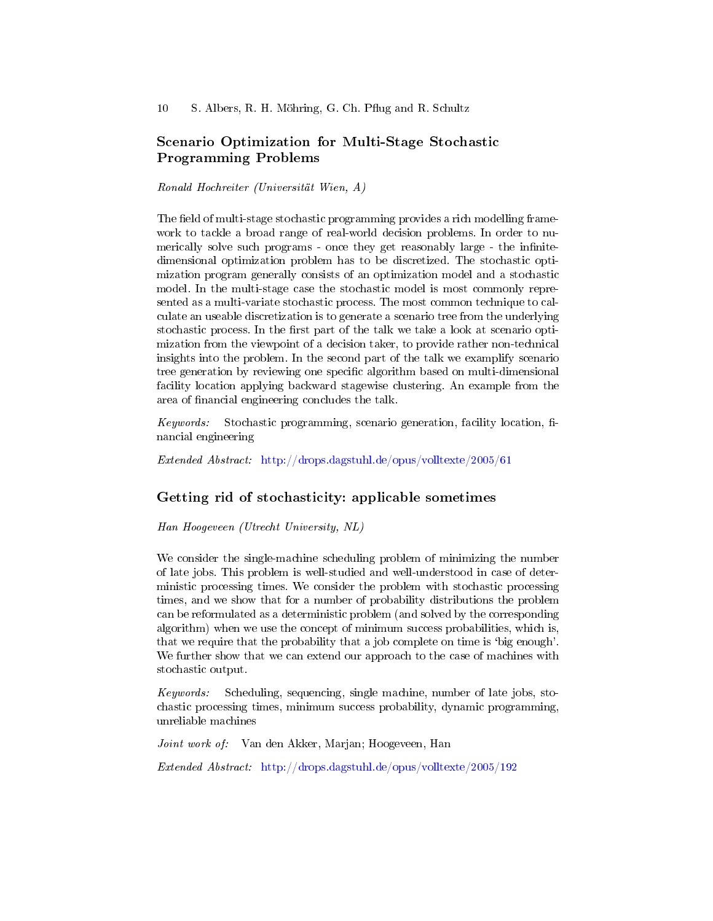# Scenario Optimization for Multi-Stage Stochastic Programming Problems

Ronald Hochreiter (Universität Wien, A)

The field of multi-stage stochastic programming provides a rich modelling framework to tackle a broad range of real-world decision problems. In order to numerically solve such programs - once they get reasonably large - the infinitedimensional optimization problem has to be discretized. The stochastic optimization program generally consists of an optimization model and a stochastic model. In the multi-stage case the stochastic model is most commonly represented as a multi-variate stochastic process. The most common technique to calculate an useable discretization is to generate a scenario tree from the underlying stochastic process. In the first part of the talk we take a look at scenario optimization from the viewpoint of a decision taker, to provide rather non-technical insights into the problem. In the second part of the talk we examplify scenario tree generation by reviewing one specific algorithm based on multi-dimensional facility location applying backward stagewise clustering. An example from the area of financial engineering concludes the talk.

 $Keywords:$  Stochastic programming, scenario generation, facility location, financial engineering

Extended Abstract: <http://drops.dagstuhl.de/opus/volltexte/2005/61>

### Getting rid of stochasticity: applicable sometimes

Han Hoogeveen (Utrecht University, NL)

We consider the single-machine scheduling problem of minimizing the number of late jobs. This problem is well-studied and well-understood in case of deterministic processing times. We consider the problem with stochastic processing times, and we show that for a number of probability distributions the problem can be reformulated as a deterministic problem (and solved by the corresponding algorithm) when we use the concept of minimum success probabilities, which is, that we require that the probability that a job complete on time is `big enough'. We further show that we can extend our approach to the case of machines with stochastic output.

Keywords: Scheduling, sequencing, single machine, number of late jobs, stochastic processing times, minimum success probability, dynamic programming, unreliable machines

Joint work of: Van den Akker, Marjan; Hoogeveen, Han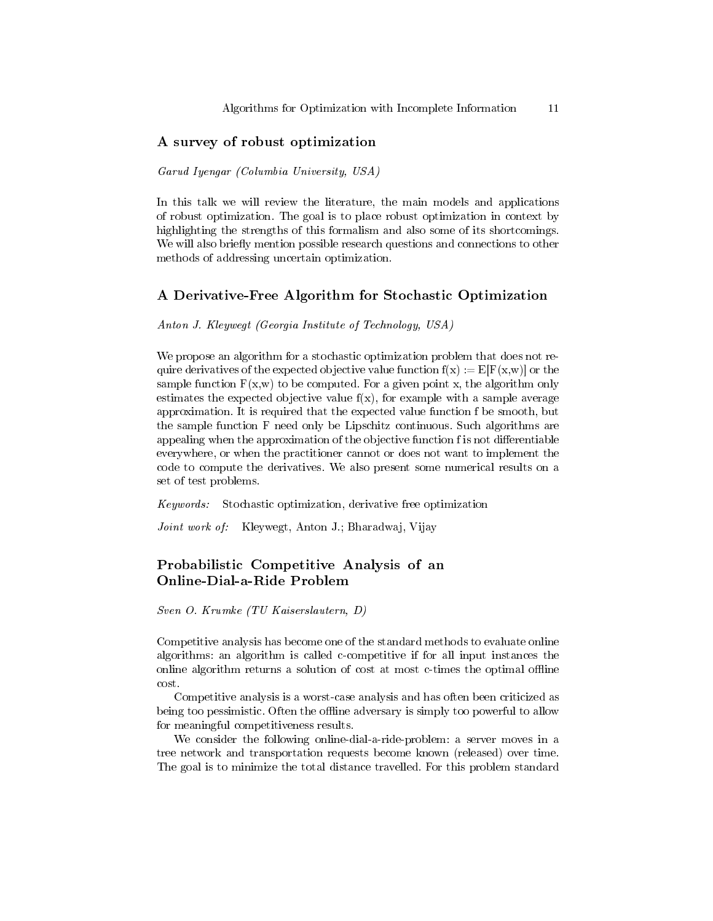### A survey of robust optimization

Garud Iyengar (Columbia University, USA)

In this talk we will review the literature, the main models and applications of robust optimization. The goal is to place robust optimization in context by highlighting the strengths of this formalism and also some of its shortcomings. We will also briefly mention possible research questions and connections to other methods of addressing uncertain optimization.

### A Derivative-Free Algorithm for Stochastic Optimization

Anton J. Kleywegt (Georgia Institute of Technology, USA)

We propose an algorithm for a stochastic optimization problem that does not require derivatives of the expected objective value function  $f(x) := E[F(x, w)]$  or the sample function  $F(x,w)$  to be computed. For a given point x, the algorithm only estimates the expected objective value  $f(x)$ , for example with a sample average approximation. It is required that the expected value function f be smooth, but the sample function F need only be Lipschitz continuous. Such algorithms are appealing when the approximation of the objective function f is not differentiable everywhere, or when the practitioner cannot or does not want to implement the code to compute the derivatives. We also present some numerical results on a set of test problems.

Keywords: Stochastic optimization, derivative free optimization

Joint work of: Kleywegt, Anton J.; Bharadwaj, Vijay

### Probabilistic Competitive Analysis of an Online-Dial-a-Ride Problem

Sven O. Krumke (TU Kaiserslautern, D)

Competitive analysis has become one of the standard methods to evaluate online algorithms: an algorithm is called c-competitive if for all input instances the online algorithm returns a solution of cost at most c-times the optimal offline cost.

Competitive analysis is a worst-case analysis and has often been criticized as being too pessimistic. Often the offline adversary is simply too powerful to allow for meaningful competitiveness results.

We consider the following online-dial-a-ride-problem: a server moves in a tree network and transportation requests become known (released) over time. The goal is to minimize the total distance travelled. For this problem standard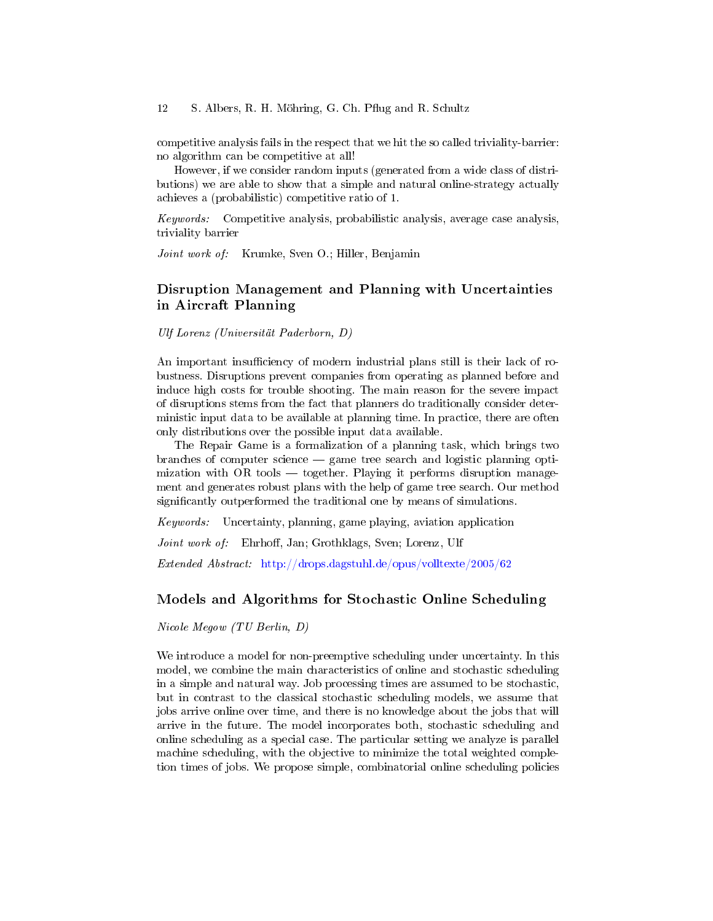#### 12 S. Albers, R. H. Möhring, G. Ch. Pflug and R. Schultz

competitive analysis fails in the respect that we hit the so called triviality-barrier: no algorithm can be competitive at all!

However, if we consider random inputs (generated from a wide class of distributions) we are able to show that a simple and natural online-strategy actually achieves a (probabilistic) competitive ratio of 1.

Keywords: Competitive analysis, probabilistic analysis, average case analysis, triviality barrier

Joint work of: Krumke, Sven O.; Hiller, Benjamin

### Disruption Management and Planning with Uncertainties in Aircraft Planning

Ulf Lorenz (Universität Paderborn, D)

An important insufficiency of modern industrial plans still is their lack of robustness. Disruptions prevent companies from operating as planned before and induce high costs for trouble shooting. The main reason for the severe impact of disruptions stems from the fact that planners do traditionally consider deterministic input data to be available at planning time. In practice, there are often only distributions over the possible input data available.

The Repair Game is a formalization of a planning task, which brings two branches of computer science game tree search and logistic planning optimization with  $OR$  tools  $-$  together. Playing it performs disruption management and generates robust plans with the help of game tree search. Our method significantly outperformed the traditional one by means of simulations.

Keywords: Uncertainty, planning, game playing, aviation application

Joint work of: Ehrhoff, Jan; Grothklags, Sven; Lorenz, Ulf

Extended Abstract: <http://drops.dagstuhl.de/opus/volltexte/2005/62>

#### Models and Algorithms for Stochastic Online Scheduling

Nicole Megow (TU Berlin, D)

We introduce a model for non-preemptive scheduling under uncertainty. In this model, we combine the main characteristics of online and stochastic scheduling in a simple and natural way. Job processing times are assumed to be stochastic, but in contrast to the classical stochastic scheduling models, we assume that jobs arrive online over time, and there is no knowledge about the jobs that will arrive in the future. The model incorporates both, stochastic scheduling and online scheduling as a special case. The particular setting we analyze is parallel machine scheduling, with the objective to minimize the total weighted completion times of jobs. We propose simple, combinatorial online scheduling policies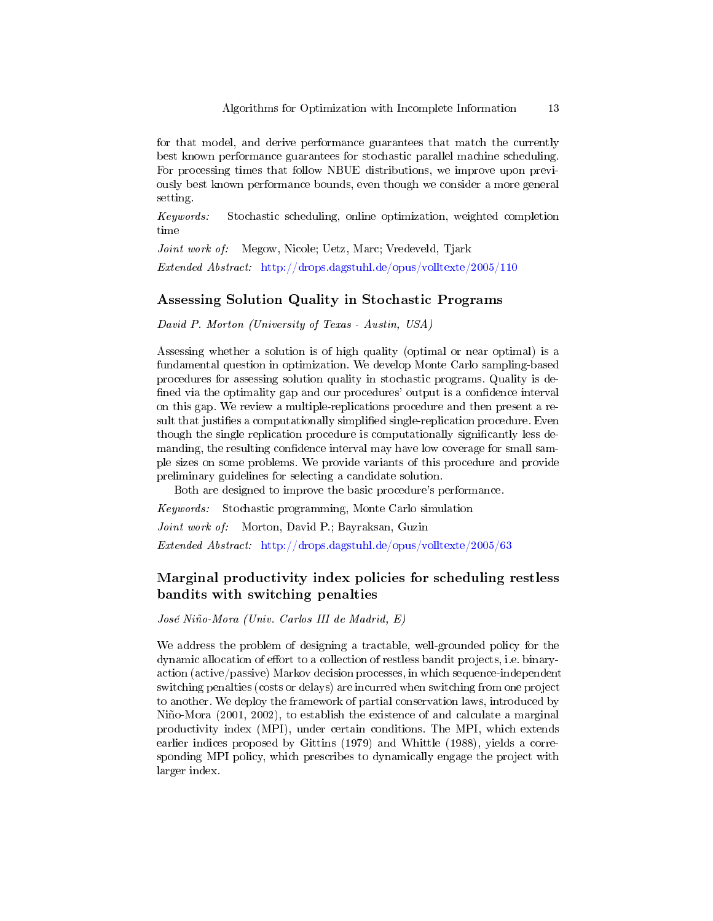for that model, and derive performance guarantees that match the currently best known performance guarantees for stochastic parallel machine scheduling. For processing times that follow NBUE distributions, we improve upon previously best known performance bounds, even though we consider a more general setting.

Keywords: Stochastic scheduling, online optimization, weighted completion time

Joint work of: Megow, Nicole; Uetz, Marc; Vredeveld, Tjark Extended Abstract: <http://drops.dagstuhl.de/opus/volltexte/2005/110>

### Assessing Solution Quality in Stochastic Programs

David P. Morton (University of Texas - Austin, USA)

Assessing whether a solution is of high quality (optimal or near optimal) is a fundamental question in optimization. We develop Monte Carlo sampling-based procedures for assessing solution quality in stochastic programs. Quality is de fined via the optimality gap and our procedures' output is a confidence interval on this gap. We review a multiple-replications procedure and then present a result that justifies a computationally simplified single-replication procedure. Even though the single replication procedure is computationally significantly less demanding, the resulting confidence interval may have low coverage for small sample sizes on some problems. We provide variants of this procedure and provide preliminary guidelines for selecting a candidate solution.

Both are designed to improve the basic procedure's performance.

Keywords: Stochastic programming, Monte Carlo simulation

Joint work of: Morton, David P.; Bayraksan, Guzin

Extended Abstract: <http://drops.dagstuhl.de/opus/volltexte/2005/63>

# Marginal productivity index policies for scheduling restless bandits with switching penalties

José Niño-Mora (Univ. Carlos III de Madrid, E)

We address the problem of designing a tractable, well-grounded policy for the dynamic allocation of effort to a collection of restless bandit projects, i.e. binaryaction (active/passive) Markov decision processes, in which sequence-independent switching penalties (costs or delays) are incurred when switching from one project to another. We deploy the framework of partial conservation laws, introduced by Niño-Mora (2001, 2002), to establish the existence of and calculate a marginal productivity index (MPI), under certain conditions. The MPI, which extends earlier indices proposed by Gittins (1979) and Whittle (1988), yields a corresponding MPI policy, which prescribes to dynamically engage the project with larger index.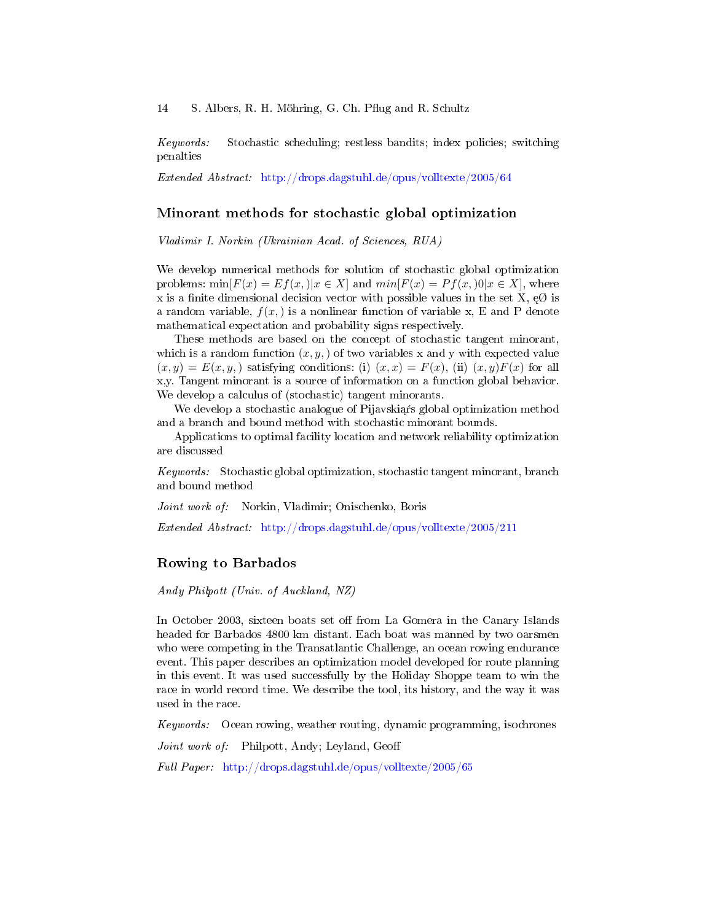Keywords: Stochastic scheduling; restless bandits; index policies; switching penalties

Extended Abstract: <http://drops.dagstuhl.de/opus/volltexte/2005/64>

#### Minorant methods for stochastic global optimization

Vladimir I. Norkin (Ukrainian Acad. of Sciences, RUA)

We develop numerical methods for solution of stochastic global optimization problems:  $\min[F(x) = E f(x, x)] | x \in X$  and  $\min[F(x) = P f(x, x)] | x \in X$ , where x is a finite dimensional decision vector with possible values in the set X,  $\epsilon \emptyset$  is a random variable,  $f(x)$  is a nonlinear function of variable x, E and P denote mathematical expectation and probability signs respectively.

These methods are based on the concept of stochastic tangent minorant, which is a random function  $(x, y, y)$  of two variables x and y with expected value  $(x, y) = E(x, y)$ , satisfying conditions: (i)  $(x, x) = F(x)$ , (ii)  $(x, y)F(x)$  for all x,y. Tangent minorant is a source of information on a function global behavior. We develop a calculus of (stochastic) tangent minorants.

We develop a stochastic analogue of Pijavskiąŕs global optimization method and a branch and bound method with stochastic minorant bounds.

Applications to optimal facility location and network reliability optimization are discussed

Keywords: Stochastic global optimization, stochastic tangent minorant, branch and bound method

Joint work of: Norkin, Vladimir; Onischenko, Boris

Extended Abstract: <http://drops.dagstuhl.de/opus/volltexte/2005/211>

### Rowing to Barbados

Andy Philpott (Univ. of Auckland, NZ)

In October 2003, sixteen boats set off from La Gomera in the Canary Islands headed for Barbados 4800 km distant. Each boat was manned by two oarsmen who were competing in the Transatlantic Challenge, an ocean rowing endurance event. This paper describes an optimization model developed for route planning in this event. It was used successfully by the Holiday Shoppe team to win the race in world record time. We describe the tool, its history, and the way it was used in the race.

Keywords: Ocean rowing, weather routing, dynamic programming, isochrones

Joint work of: Philpott, Andy; Leyland, Geoff

Full Paper: <http://drops.dagstuhl.de/opus/volltexte/2005/65>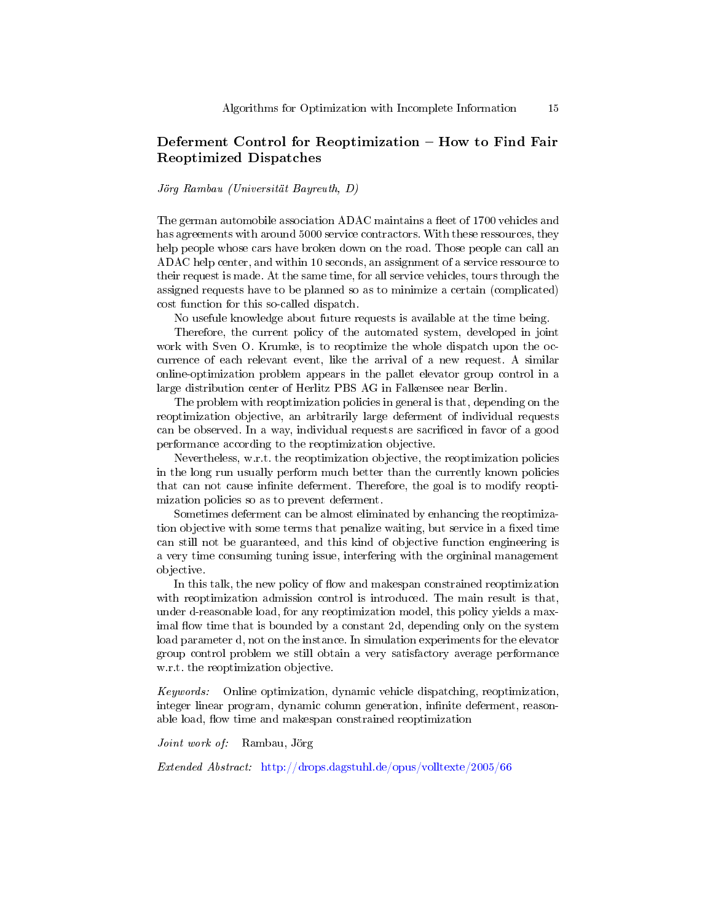# Deferment Control for Reoptimization - How to Find Fair Reoptimized Dispatches

#### Jörg Rambau (Universität Bayreuth, D)

The german automobile association ADAC maintains a fleet of 1700 vehicles and has agreements with around 5000 service contractors. With these ressources, they help people whose cars have broken down on the road. Those people can call an ADAC help center, and within 10 seconds, an assignment of a service ressource to their request is made. At the same time, for all service vehicles, tours through the assigned requests have to be planned so as to minimize a certain (complicated) cost function for this so-called dispatch.

No usefule knowledge about future requests is available at the time being.

Therefore, the current policy of the automated system, developed in joint work with Sven O. Krumke, is to reoptimize the whole dispatch upon the occurrence of each relevant event, like the arrival of a new request. A similar online-optimization problem appears in the pallet elevator group control in a large distribution center of Herlitz PBS AG in Falkensee near Berlin.

The problem with reoptimization policies in general is that, depending on the reoptimization objective, an arbitrarily large deferment of individual requests can be observed. In a way, individual requests are sacrificed in favor of a good performance according to the reoptimization objective.

Nevertheless, w.r.t. the reoptimization objective, the reoptimization policies in the long run usually perform much better than the currently known policies that can not cause infinite deferment. Therefore, the goal is to modify reoptimization policies so as to prevent deferment.

Sometimes deferment can be almost eliminated by enhancing the reoptimization objective with some terms that penalize waiting, but service in a fixed time can still not be guaranteed, and this kind of objective function engineering is a very time consuming tuning issue, interfering with the orgininal management objective.

In this talk, the new policy of flow and makespan constrained reoptimization with reoptimization admission control is introduced. The main result is that, under d-reasonable load, for any reoptimization model, this policy yields a maximal flow time that is bounded by a constant 2d, depending only on the system load parameter d, not on the instance. In simulation experiments for the elevator group control problem we still obtain a very satisfactory average performance w.r.t. the reoptimization objective.

Keywords: Online optimization, dynamic vehicle dispatching, reoptimization, integer linear program, dynamic column generation, infinite deferment, reasonable load, flow time and makespan constrained reoptimization

Joint work of: Rambau, Jörg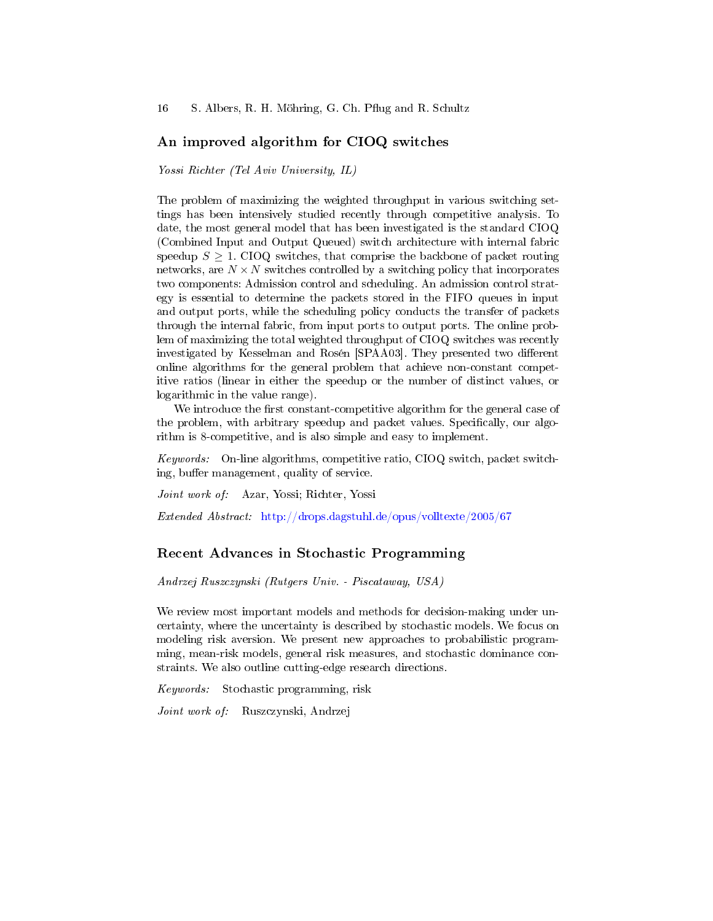### An improved algorithm for CIOQ switches

Yossi Richter (Tel Aviv University, IL)

The problem of maximizing the weighted throughput in various switching settings has been intensively studied recently through competitive analysis. To date, the most general model that has been investigated is the standard CIOQ (Combined Input and Output Queued) switch architecture with internal fabric speedup  $S \geq 1$ . CIOQ switches, that comprise the backbone of packet routing networks, are  $N \times N$  switches controlled by a switching policy that incorporates two components: Admission control and scheduling. An admission control strategy is essential to determine the packets stored in the FIFO queues in input and output ports, while the scheduling policy conducts the transfer of packets through the internal fabric, from input ports to output ports. The online problem of maximizing the total weighted throughput of CIOQ switches was recently investigated by Kesselman and Rosén [SPAA03]. They presented two different online algorithms for the general problem that achieve non-constant competitive ratios (linear in either the speedup or the number of distinct values, or logarithmic in the value range).

We introduce the first constant-competitive algorithm for the general case of the problem, with arbitrary speedup and packet values. Specifically, our algorithm is 8-competitive, and is also simple and easy to implement.

Keywords: On-line algorithms, competitive ratio, CIOQ switch, packet switching, buffer management, quality of service.

Joint work of: Azar, Yossi; Richter, Yossi

Extended Abstract: <http://drops.dagstuhl.de/opus/volltexte/2005/67>

### Recent Advances in Stochastic Programming

Andrzej Ruszczynski (Rutgers Univ. - Piscataway, USA)

We review most important models and methods for decision-making under uncertainty, where the uncertainty is described by stochastic models. We focus on modeling risk aversion. We present new approaches to probabilistic programming, mean-risk models, general risk measures, and stochastic dominance constraints. We also outline cutting-edge research directions.

Keywords: Stochastic programming, risk

Joint work of: Ruszczynski, Andrzej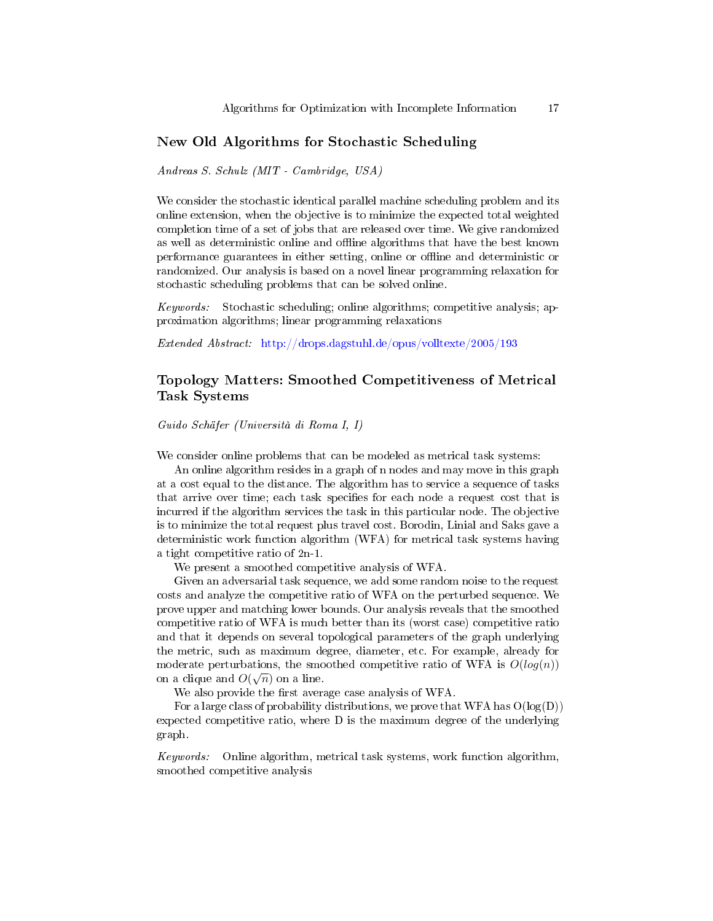### New Old Algorithms for Stochastic Scheduling

Andreas S. Schulz (MIT - Cambridge, USA)

We consider the stochastic identical parallel machine scheduling problem and its online extension, when the objective is to minimize the expected total weighted completion time of a set of jobs that are released over time. We give randomized as well as deterministic online and offline algorithms that have the best known performance guarantees in either setting, online or offline and deterministic or randomized. Our analysis is based on a novel linear programming relaxation for stochastic scheduling problems that can be solved online.

Keywords: Stochastic scheduling; online algorithms; competitive analysis; approximation algorithms; linear programming relaxations

Extended Abstract: <http://drops.dagstuhl.de/opus/volltexte/2005/193>

# Topology Matters: Smoothed Competitiveness of Metrical Task Systems

Guido Schäfer (Università di Roma I, I)

We consider online problems that can be modeled as metrical task systems:

An online algorithm resides in a graph of n nodes and may move in this graph at a cost equal to the distance. The algorithm has to service a sequence of tasks that arrive over time; each task specifies for each node a request cost that is incurred if the algorithm services the task in this particular node. The objective is to minimize the total request plus travel cost. Borodin, Linial and Saks gave a deterministic work function algorithm (WFA) for metrical task systems having a tight competitive ratio of 2n-1.

We present a smoothed competitive analysis of WFA.

Given an adversarial task sequence, we add some random noise to the request costs and analyze the competitive ratio of WFA on the perturbed sequence. We prove upper and matching lower bounds. Our analysis reveals that the smoothed competitive ratio of WFA is much better than its (worst case) competitive ratio and that it depends on several topological parameters of the graph underlying the metric, such as maximum degree, diameter, etc. For example, already for moderate perturbations, the smoothed competitive ratio of WFA is  $O(log(n))$ on a clique and  $O(\sqrt{n})$  on a line.

We also provide the first average case analysis of WFA.

For a large class of probability distributions, we prove that WFA has  $O(log(D))$ expected competitive ratio, where D is the maximum degree of the underlying graph.

Keywords: Online algorithm, metrical task systems, work function algorithm, smoothed competitive analysis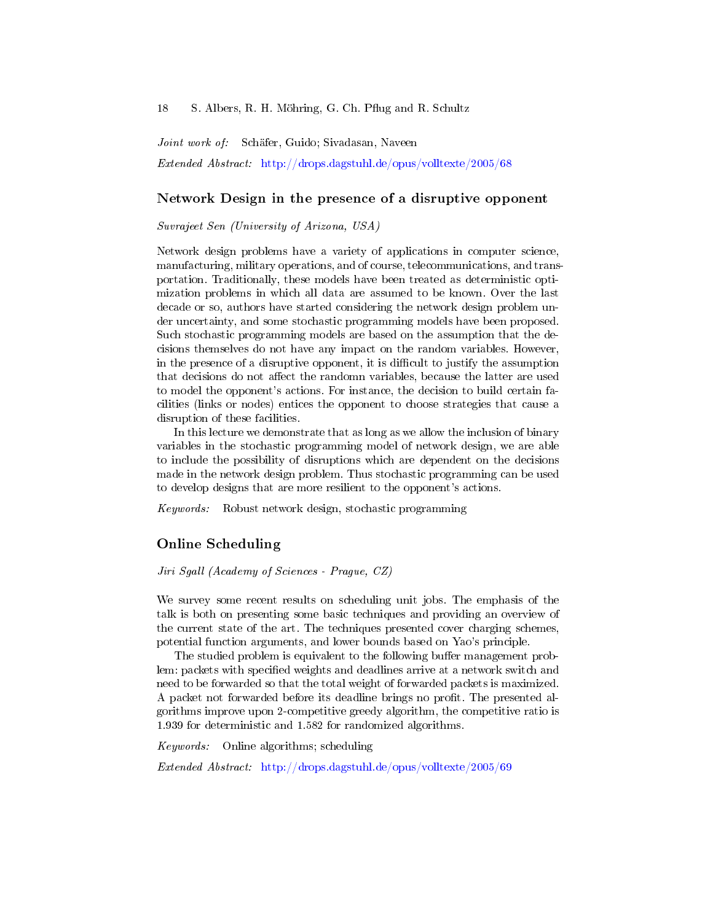Joint work of: Schäfer, Guido; Sivadasan, Naveen Extended Abstract: <http://drops.dagstuhl.de/opus/volltexte/2005/68>

#### Network Design in the presence of a disruptive opponent

Suvrajeet Sen (University of Arizona, USA)

Network design problems have a variety of applications in computer science, manufacturing, military operations, and of course, telecommunications, and transportation. Traditionally, these models have been treated as deterministic optimization problems in which all data are assumed to be known. Over the last decade or so, authors have started considering the network design problem under uncertainty, and some stochastic programming models have been proposed. Such stochastic programming models are based on the assumption that the decisions themselves do not have any impact on the random variables. However, in the presence of a disruptive opponent, it is difficult to justify the assumption that decisions do not affect the randomn variables, because the latter are used to model the opponent's actions. For instance, the decision to build certain facilities (links or nodes) entices the opponent to choose strategies that cause a disruption of these facilities.

In this lecture we demonstrate that as long as we allow the inclusion of binary variables in the stochastic programming model of network design, we are able to include the possibility of disruptions which are dependent on the decisions made in the network design problem. Thus stochastic programming can be used to develop designs that are more resilient to the opponent's actions.

Keywords: Robust network design, stochastic programming

### Online Scheduling

Jiri Sgall (Academy of Sciences - Prague, CZ)

We survey some recent results on scheduling unit jobs. The emphasis of the talk is both on presenting some basic techniques and providing an overview of the current state of the art. The techniques presented cover charging schemes, potential function arguments, and lower bounds based on Yao's principle.

The studied problem is equivalent to the following buffer management problem: packets with specified weights and deadlines arrive at a network switch and need to be forwarded so that the total weight of forwarded packets is maximized. A packet not forwarded before its deadline brings no profit. The presented algorithms improve upon 2-competitive greedy algorithm, the competitive ratio is 1.939 for deterministic and 1.582 for randomized algorithms.

Keywords: Online algorithms; scheduling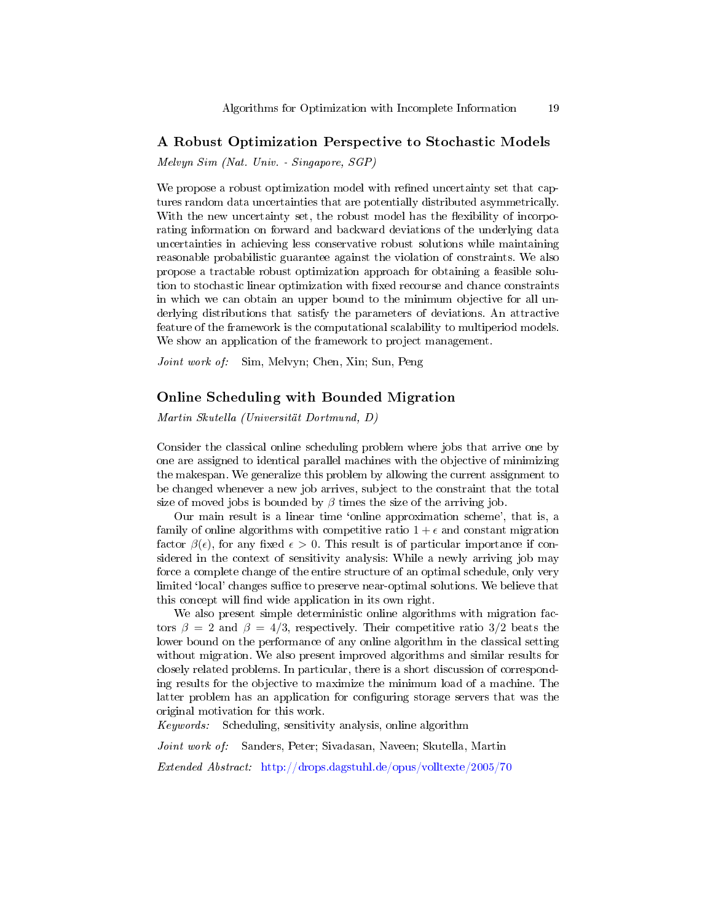#### A Robust Optimization Perspective to Stochastic Models

Melvyn Sim (Nat. Univ. - Singapore, SGP)

We propose a robust optimization model with refined uncertainty set that captures random data uncertainties that are potentially distributed asymmetrically. With the new uncertainty set, the robust model has the flexibility of incorporating information on forward and backward deviations of the underlying data uncertainties in achieving less conservative robust solutions while maintaining reasonable probabilistic guarantee against the violation of constraints. We also propose a tractable robust optimization approach for obtaining a feasible solution to stochastic linear optimization with fixed recourse and chance constraints in which we can obtain an upper bound to the minimum objective for all underlying distributions that satisfy the parameters of deviations. An attractive feature of the framework is the computational scalability to multiperiod models. We show an application of the framework to project management.

Joint work of: Sim, Melvyn; Chen, Xin; Sun, Peng

#### Online Scheduling with Bounded Migration

Martin Skutella (Universität Dortmund, D)

Consider the classical online scheduling problem where jobs that arrive one by one are assigned to identical parallel machines with the objective of minimizing the makespan. We generalize this problem by allowing the current assignment to be changed whenever a new job arrives, subject to the constraint that the total size of moved jobs is bounded by  $\beta$  times the size of the arriving job.

Our main result is a linear time `online approximation scheme', that is, a family of online algorithms with competitive ratio  $1 + \epsilon$  and constant migration factor  $\beta(\epsilon)$ , for any fixed  $\epsilon > 0$ . This result is of particular importance if considered in the context of sensitivity analysis: While a newly arriving job may force a complete change of the entire structure of an optimal schedule, only very limited 'local' changes suffice to preserve near-optimal solutions. We believe that this concept will find wide application in its own right.

We also present simple deterministic online algorithms with migration factors  $\beta = 2$  and  $\beta = 4/3$ , respectively. Their competitive ratio 3/2 beats the lower bound on the performance of any online algorithm in the classical setting without migration. We also present improved algorithms and similar results for closely related problems. In particular, there is a short discussion of corresponding results for the objective to maximize the minimum load of a machine. The latter problem has an application for configuring storage servers that was the original motivation for this work.

Keywords: Scheduling, sensitivity analysis, online algorithm

Joint work of: Sanders, Peter; Sivadasan, Naveen; Skutella, Martin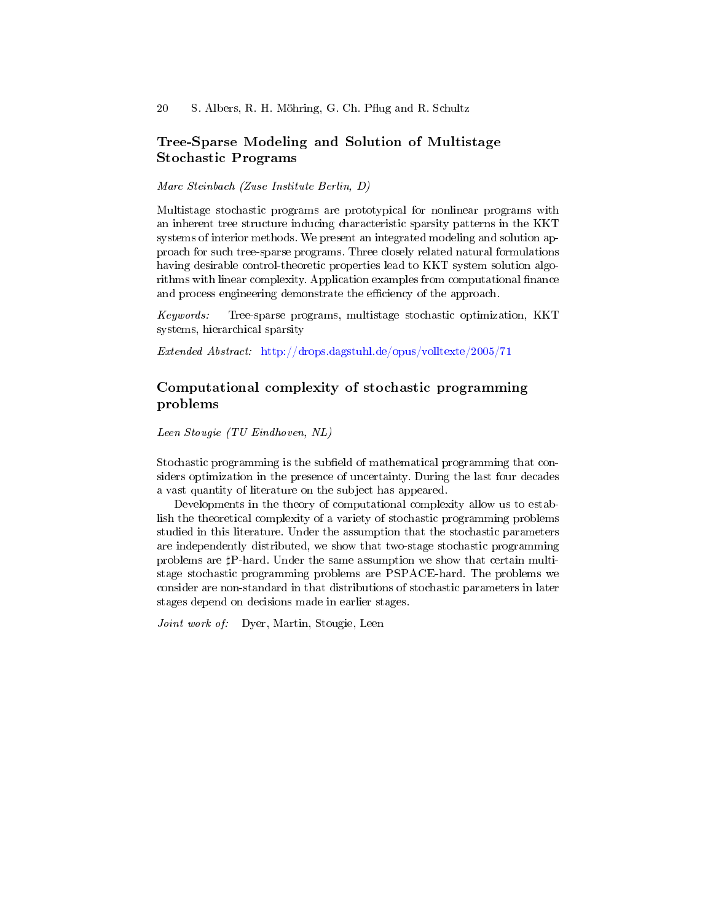# Tree-Sparse Modeling and Solution of Multistage Stochastic Programs

Marc Steinbach (Zuse Institute Berlin, D)

Multistage stochastic programs are prototypical for nonlinear programs with an inherent tree structure inducing characteristic sparsity patterns in the KKT systems of interior methods. We present an integrated modeling and solution approach for such tree-sparse programs. Three closely related natural formulations having desirable control-theoretic properties lead to KKT system solution algorithms with linear complexity. Application examples from computational finance and process engineering demonstrate the efficiency of the approach.

Keywords: Tree-sparse programs, multistage stochastic optimization, KKT systems, hierarchical sparsity

Extended Abstract: <http://drops.dagstuhl.de/opus/volltexte/2005/71>

# Computational complexity of stochastic programming problems

Leen Stougie (TU Eindhoven, NL)

Stochastic programming is the subfield of mathematical programming that considers optimization in the presence of uncertainty. During the last four decades a vast quantity of literature on the subject has appeared.

Developments in the theory of computational complexity allow us to establish the theoretical complexity of a variety of stochastic programming problems studied in this literature. Under the assumption that the stochastic parameters are independently distributed, we show that two-stage stochastic programming problems are  $\sharp$ P-hard. Under the same assumption we show that certain multistage stochastic programming problems are PSPACE-hard. The problems we consider are non-standard in that distributions of stochastic parameters in later stages depend on decisions made in earlier stages.

Joint work of: Dyer, Martin, Stougie, Leen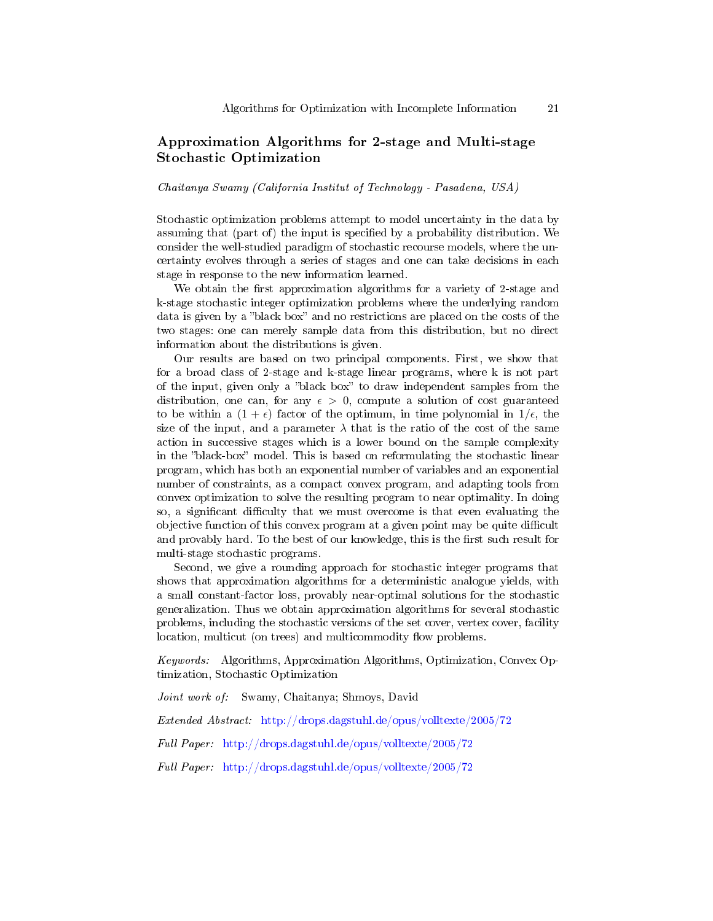# Approximation Algorithms for 2-stage and Multi-stage Stochastic Optimization

Chaitanya Swamy (California Institut of Technology - Pasadena, USA)

Stochastic optimization problems attempt to model uncertainty in the data by assuming that (part of) the input is specified by a probability distribution. We consider the well-studied paradigm of stochastic recourse models, where the uncertainty evolves through a series of stages and one can take decisions in each stage in response to the new information learned.

We obtain the first approximation algorithms for a variety of 2-stage and k-stage stochastic integer optimization problems where the underlying random data is given by a "black box" and no restrictions are placed on the costs of the two stages: one can merely sample data from this distribution, but no direct information about the distributions is given.

Our results are based on two principal components. First, we show that for a broad class of 2-stage and k-stage linear programs, where k is not part of the input, given only a "black box" to draw independent samples from the distribution, one can, for any  $\epsilon > 0$ , compute a solution of cost guaranteed to be within a  $(1 + \epsilon)$  factor of the optimum, in time polynomial in  $1/\epsilon$ , the size of the input, and a parameter  $\lambda$  that is the ratio of the cost of the same action in successive stages which is a lower bound on the sample complexity in the "black-box" model. This is based on reformulating the stochastic linear program, which has both an exponential number of variables and an exponential number of constraints, as a compact convex program, and adapting tools from convex optimization to solve the resulting program to near optimality. In doing so, a significant difficulty that we must overcome is that even evaluating the objective function of this convex program at a given point may be quite difficult and provably hard. To the best of our knowledge, this is the first such result for multi-stage stochastic programs.

Second, we give a rounding approach for stochastic integer programs that shows that approximation algorithms for a deterministic analogue yields, with a small constant-factor loss, provably near-optimal solutions for the stochastic generalization. Thus we obtain approximation algorithms for several stochastic problems, including the stochastic versions of the set cover, vertex cover, facility location, multicut (on trees) and multicommodity flow problems.

Keywords: Algorithms, Approximation Algorithms, Optimization, Convex Optimization, Stochastic Optimization

Joint work of: Swamy, Chaitanya; Shmoys, David

Extended Abstract: <http://drops.dagstuhl.de/opus/volltexte/2005/72>

Full Paper: <http://drops.dagstuhl.de/opus/volltexte/2005/72>

Full Paper: <http://drops.dagstuhl.de/opus/volltexte/2005/72>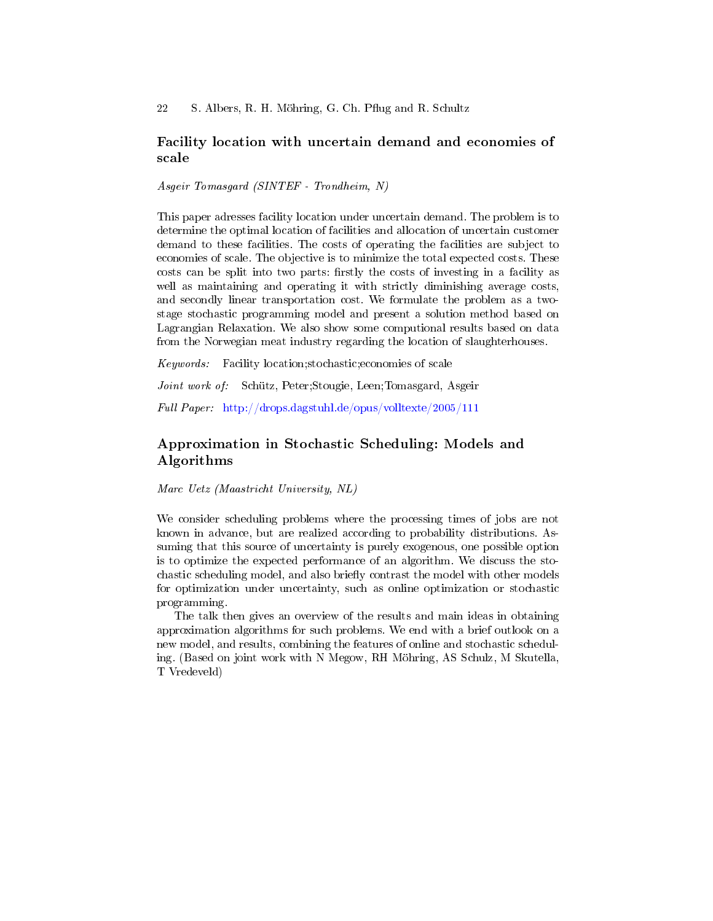### Facility location with uncertain demand and economies of scale

Asgeir Tomasgard (SINTEF - Trondheim, N)

This paper adresses facility location under uncertain demand. The problem is to determine the optimal location of facilities and allocation of uncertain customer demand to these facilities. The costs of operating the facilities are subject to economies of scale. The objective is to minimize the total expected costs. These costs can be split into two parts: firstly the costs of investing in a facility as well as maintaining and operating it with strictly diminishing average costs, and secondly linear transportation cost. We formulate the problem as a twostage stochastic programming model and present a solution method based on Lagrangian Relaxation. We also show some computional results based on data from the Norwegian meat industry regarding the location of slaughterhouses.

Keywords: Facility location;stochastic;economies of scale

Joint work of: Schütz, Peter;Stougie, Leen;Tomasgard, Asgeir

Full Paper: <http://drops.dagstuhl.de/opus/volltexte/2005/111>

# Approximation in Stochastic Scheduling: Models and Algorithms

Marc Uetz (Maastricht University, NL)

We consider scheduling problems where the processing times of jobs are not known in advance, but are realized according to probability distributions. Assuming that this source of uncertainty is purely exogenous, one possible option is to optimize the expected performance of an algorithm. We discuss the stochastic scheduling model, and also briefly contrast the model with other models for optimization under uncertainty, such as online optimization or stochastic programming.

The talk then gives an overview of the results and main ideas in obtaining approximation algorithms for such problems. We end with a brief outlook on a new model, and results, combining the features of online and stochastic scheduling. (Based on joint work with N Megow, RH Möhring, AS Schulz, M Skutella, T Vredeveld)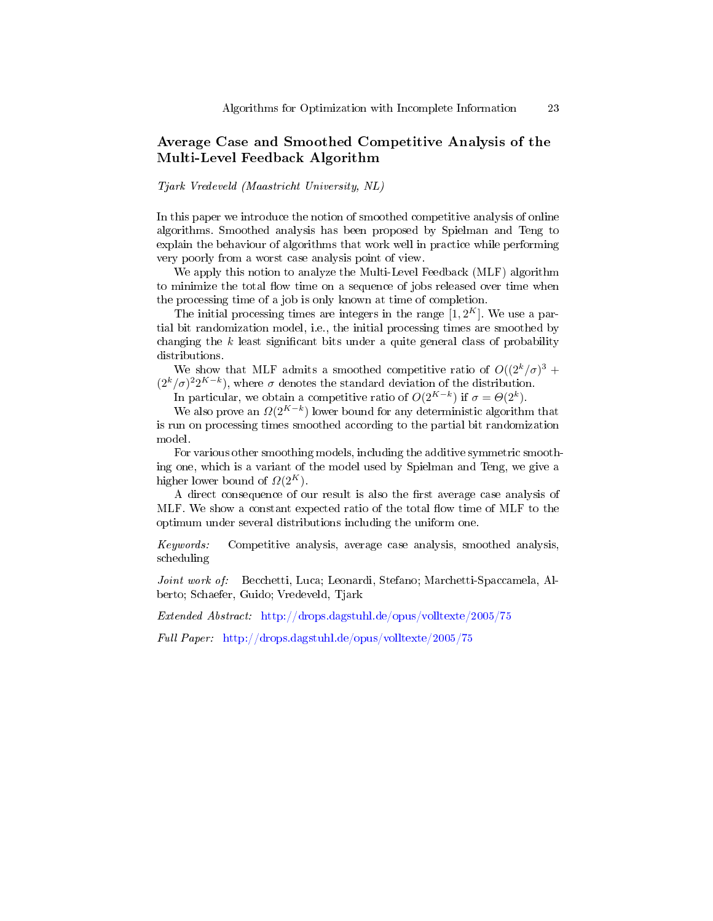# Average Case and Smoothed Competitive Analysis of the Multi-Level Feedback Algorithm

Tjark Vredeveld (Maastricht University, NL)

In this paper we introduce the notion of smoothed competitive analysis of online algorithms. Smoothed analysis has been proposed by Spielman and Teng to explain the behaviour of algorithms that work well in practice while performing very poorly from a worst case analysis point of view.

We apply this notion to analyze the Multi-Level Feedback (MLF) algorithm to minimize the total flow time on a sequence of jobs released over time when the processing time of a job is only known at time of completion.

The initial processing times are integers in the range  $[1, 2<sup>K</sup>]$ . We use a partial bit randomization model, i.e., the initial processing times are smoothed by changing the  $k$  least significant bits under a quite general class of probability distributions.

We show that MLF admits a smoothed competitive ratio of  $O((2^k/\sigma)^3 +$  $(2^{k}/\sigma)^{2}2^{K-k}$ , where  $\sigma$  denotes the standard deviation of the distribution.

In particular, we obtain a competitive ratio of  $O(2^{K-k})$  if  $\sigma = \Theta(2^k)$ .

We also prove an  $\Omega(2^{K-k})$  lower bound for any deterministic algorithm that is run on processing times smoothed according to the partial bit randomization model.

For various other smoothing models, including the additive symmetric smoothing one, which is a variant of the model used by Spielman and Teng, we give a higher lower bound of  $\Omega(2^K)$ .

A direct consequence of our result is also the first average case analysis of MLF. We show a constant expected ratio of the total flow time of MLF to the optimum under several distributions including the uniform one.

Keywords: Competitive analysis, average case analysis, smoothed analysis, scheduling

Joint work of: Becchetti, Luca; Leonardi, Stefano; Marchetti-Spaccamela, Alberto; Schaefer, Guido; Vredeveld, Tjark

Extended Abstract: <http://drops.dagstuhl.de/opus/volltexte/2005/75>

Full Paper: <http://drops.dagstuhl.de/opus/volltexte/2005/75>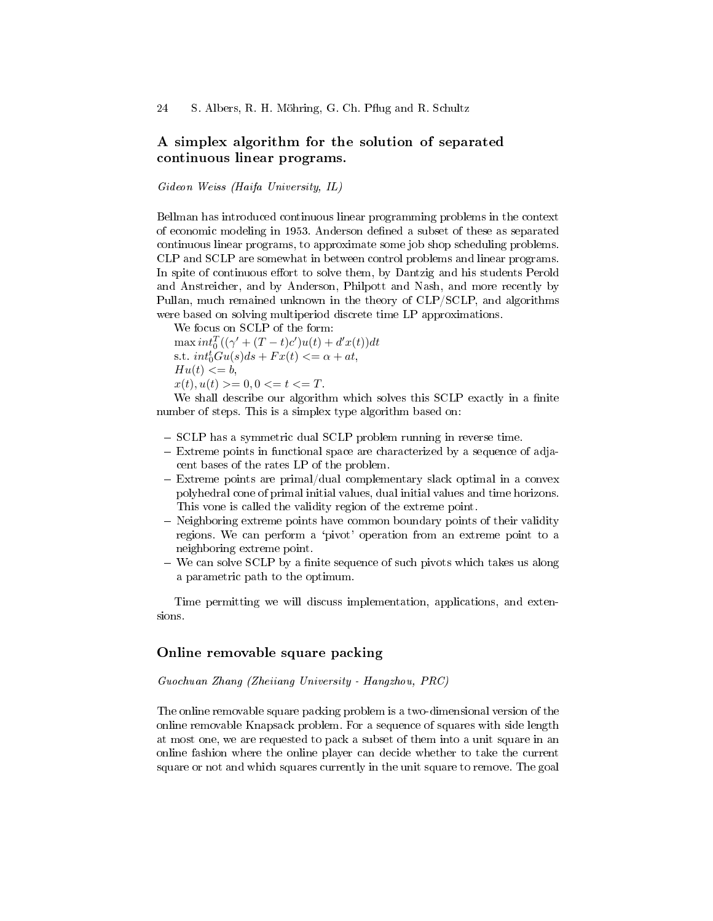# A simplex algorithm for the solution of separated continuous linear programs.

Gideon Weiss (Haifa University, IL)

Bellman has introduced continuous linear programming problems in the context of economic modeling in 1953. Anderson defined a subset of these as separated continuous linear programs, to approximate some job shop scheduling problems. CLP and SCLP are somewhat in between control problems and linear programs. In spite of continuous effort to solve them, by Dantzig and his students Perold and Anstreicher, and by Anderson, Philpott and Nash, and more recently by Pullan, much remained unknown in the theory of CLP/SCLP, and algorithms were based on solving multiperiod discrete time LP approximations.

We focus on SCLP of the form:  $\max int_0^T((\gamma' + (T-t)c')u(t) + d'x(t))dt$ s.t.  $int_0^t Gu(s)ds + Fx(t) \leq \alpha + at$ ,  $Hu(t) \leq b$ ,  $x(t), u(t) >= 0, 0 \le t \le T.$ 

We shall describe our algorithm which solves this SCLP exactly in a finite number of steps. This is a simplex type algorithm based on:

- SCLP has a symmetric dual SCLP problem running in reverse time.
- Extreme points in functional space are characterized by a sequence of adjacent bases of the rates LP of the problem.
- $-$  Extreme points are primal/dual complementary slack optimal in a convex polyhedral cone of primal initial values, dual initial values and time horizons. This vone is called the validity region of the extreme point.
- Neighboring extreme points have common boundary points of their validity regions. We can perform a `pivot' operation from an extreme point to a neighboring extreme point.
- We can solve SCLP by a finite sequence of such pivots which takes us along a parametric path to the optimum.

Time permitting we will discuss implementation, applications, and extensions.

### Online removable square packing

Guochuan Zhang (Zheiiang University - Hangzhou, PRC)

The online removable square packing problem is a two-dimensional version of the online removable Knapsack problem. For a sequence of squares with side length at most one, we are requested to pack a subset of them into a unit square in an online fashion where the online player can decide whether to take the current square or not and which squares currently in the unit square to remove. The goal